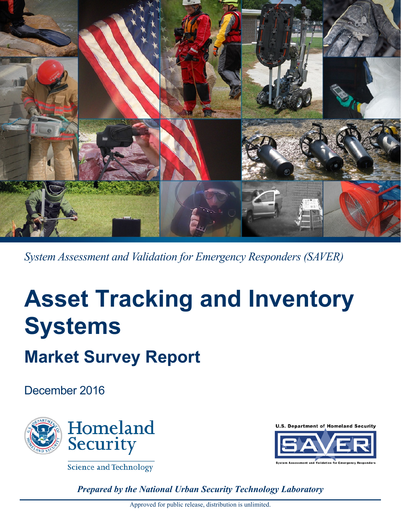

*System Assessment and Validation for Emergency Responders (SAVER)*

# **Asset Tracking and Inventory Systems**

# **Market Survey Report**

December 2016



**Science and Technology** 

**U.S. Department of Homeland Security** 



*Prepared by the National Urban Security Technology Laboratory*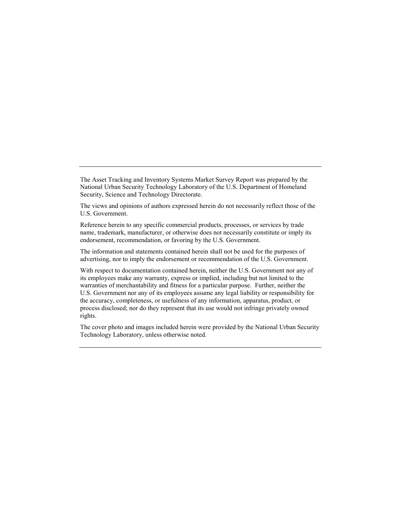The Asset Tracking and Inventory Systems Market Survey Report was prepared by the National Urban Security Technology Laboratory of the U.S. Department of Homeland Security, Science and Technology Directorate.

The views and opinions of authors expressed herein do not necessarily reflect those of the U.S. Government.

Reference herein to any specific commercial products, processes, or services by trade name, trademark, manufacturer, or otherwise does not necessarily constitute or imply its endorsement, recommendation, or favoring by the U.S. Government.

The information and statements contained herein shall not be used for the purposes of advertising, nor to imply the endorsement or recommendation of the U.S. Government.

With respect to documentation contained herein, neither the U.S. Government nor any of its employees make any warranty, express or implied, including but not limited to the warranties of merchantability and fitness for a particular purpose. Further, neither the U.S. Government nor any of its employees assume any legal liability or responsibility for the accuracy, completeness, or usefulness of any information, apparatus, product, or process disclosed; nor do they represent that its use would not infringe privately owned rights.

The cover photo and images included herein were provided by the National Urban Security Technology Laboratory, unless otherwise noted.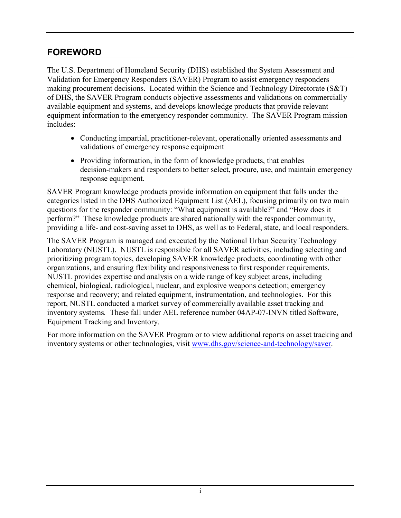#### <span id="page-2-0"></span>**FOREWORD**

The U.S. Department of Homeland Security (DHS) established the System Assessment and Validation for Emergency Responders (SAVER) Program to assist emergency responders making procurement decisions. Located within the Science and Technology Directorate (S&T) of DHS, the SAVER Program conducts objective assessments and validations on commercially available equipment and systems, and develops knowledge products that provide relevant equipment information to the emergency responder community. The SAVER Program mission includes:

- Conducting impartial, practitioner-relevant, operationally oriented assessments and validations of emergency response equipment
- Providing information, in the form of knowledge products, that enables decision-makers and responders to better select, procure, use, and maintain emergency response equipment.

SAVER Program knowledge products provide information on equipment that falls under the categories listed in the DHS Authorized Equipment List (AEL), focusing primarily on two main questions for the responder community: "What equipment is available?" and "How does it perform?" These knowledge products are shared nationally with the responder community, providing a life- and cost-saving asset to DHS, as well as to Federal, state, and local responders.

The SAVER Program is managed and executed by the National Urban Security Technology Laboratory (NUSTL). NUSTL is responsible for all SAVER activities, including selecting and prioritizing program topics, developing SAVER knowledge products, coordinating with other organizations, and ensuring flexibility and responsiveness to first responder requirements. NUSTL provides expertise and analysis on a wide range of key subject areas, including chemical, biological, radiological, nuclear, and explosive weapons detection; emergency response and recovery; and related equipment, instrumentation, and technologies. For this report, NUSTL conducted a market survey of commercially available asset tracking and inventory systems*.* These fall under AEL reference number 04AP-07-INVN titled Software, Equipment Tracking and Inventory.

For more information on the SAVER Program or to view additional reports on asset tracking and inventory systems or other technologies, visit [www.dhs.gov/science-and-technology/saver.](http://www.dhs.gov/science-and-technology/saver)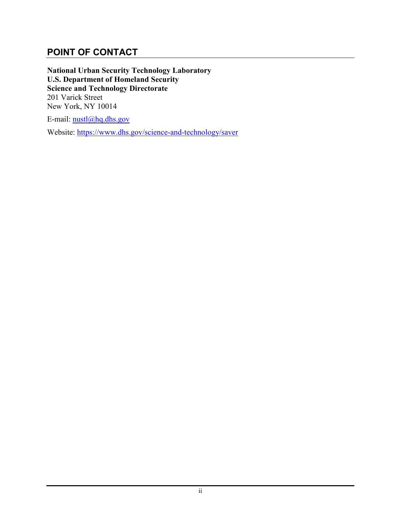#### <span id="page-3-0"></span>**POINT OF CONTACT**

**National Urban Security Technology Laboratory U.S. Department of Homeland Security Science and Technology Directorate** 201 Varick Street New York, NY 10014

E-mail:  $nustl(\omega)$ hq.dhs.gov

Website: [https://www.dhs.gov/science-and-technology/saver](https://www.dhs.gov/science-and-technology/saver%0c)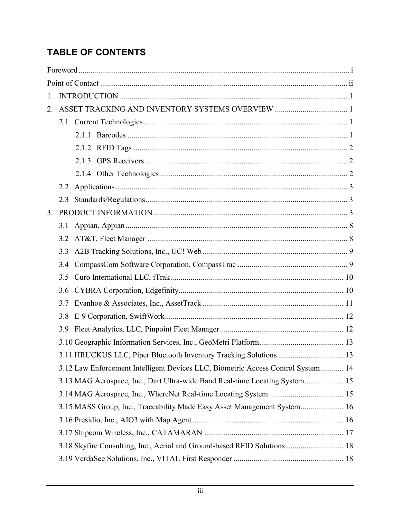# **TABLE OF CONTENTS**

| 1.      |     |                                                                                  |  |  |  |  |  |  |
|---------|-----|----------------------------------------------------------------------------------|--|--|--|--|--|--|
| $2_{-}$ |     |                                                                                  |  |  |  |  |  |  |
|         |     |                                                                                  |  |  |  |  |  |  |
|         |     |                                                                                  |  |  |  |  |  |  |
|         |     |                                                                                  |  |  |  |  |  |  |
|         |     |                                                                                  |  |  |  |  |  |  |
|         |     |                                                                                  |  |  |  |  |  |  |
|         | 2.2 |                                                                                  |  |  |  |  |  |  |
|         | 2.3 |                                                                                  |  |  |  |  |  |  |
| 3.      |     |                                                                                  |  |  |  |  |  |  |
|         |     |                                                                                  |  |  |  |  |  |  |
|         | 3.2 |                                                                                  |  |  |  |  |  |  |
|         | 3.3 |                                                                                  |  |  |  |  |  |  |
|         | 3.4 |                                                                                  |  |  |  |  |  |  |
|         | 3.5 |                                                                                  |  |  |  |  |  |  |
|         | 3.6 |                                                                                  |  |  |  |  |  |  |
|         | 3.7 |                                                                                  |  |  |  |  |  |  |
|         | 3.8 |                                                                                  |  |  |  |  |  |  |
|         | 3.9 |                                                                                  |  |  |  |  |  |  |
|         |     |                                                                                  |  |  |  |  |  |  |
|         |     |                                                                                  |  |  |  |  |  |  |
|         |     | 3.12 Law Enforcement Intelligent Devices LLC, Biometric Access Control System 14 |  |  |  |  |  |  |
|         |     | 3.13 MAG Aerospace, Inc., Dart Ultra-wide Band Real-time Locating System 15      |  |  |  |  |  |  |
|         |     |                                                                                  |  |  |  |  |  |  |
|         |     | 3.15 MASS Group, Inc., Traceability Made Easy Asset Management System 16         |  |  |  |  |  |  |
|         |     |                                                                                  |  |  |  |  |  |  |
|         |     |                                                                                  |  |  |  |  |  |  |
|         |     | 3.18 Skyfire Consulting, Inc., Aerial and Ground-based RFID Solutions  18        |  |  |  |  |  |  |
|         |     |                                                                                  |  |  |  |  |  |  |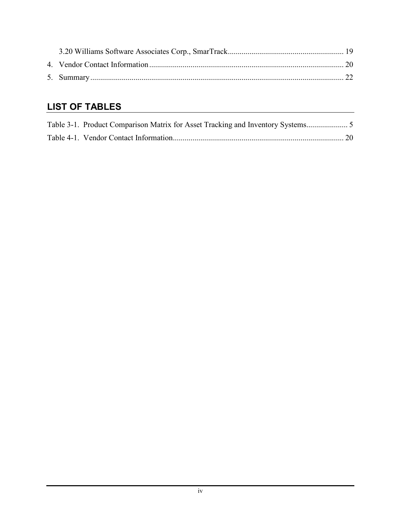# **LIST OF TABLES**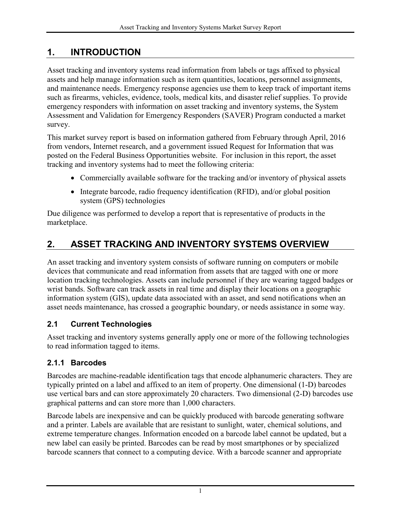## <span id="page-6-0"></span>**1. INTRODUCTION**

Asset tracking and inventory systems read information from labels or tags affixed to physical assets and help manage information such as item quantities, locations, personnel assignments, and maintenance needs. Emergency response agencies use them to keep track of important items such as firearms, vehicles, evidence, tools, medical kits, and disaster relief supplies. To provide emergency responders with information on asset tracking and inventory systems, the System Assessment and Validation for Emergency Responders (SAVER) Program conducted a market survey.

This market survey report is based on information gathered from February through April, 2016 from vendors, Internet research, and a government issued Request for Information that was posted on the Federal Business Opportunities website. For inclusion in this report, the asset tracking and inventory systems had to meet the following criteria:

- Commercially available software for the tracking and/or inventory of physical assets
- Integrate barcode, radio frequency identification (RFID), and/or global position system (GPS) technologies

Due diligence was performed to develop a report that is representative of products in the marketplace.

# <span id="page-6-1"></span>**2. ASSET TRACKING AND INVENTORY SYSTEMS OVERVIEW**

An asset tracking and inventory system consists of software running on computers or mobile devices that communicate and read information from assets that are tagged with one or more location tracking technologies. Assets can include personnel if they are wearing tagged badges or wrist bands. Software can track assets in real time and display their locations on a geographic information system (GIS), update data associated with an asset, and send notifications when an asset needs maintenance, has crossed a geographic boundary, or needs assistance in some way.

#### <span id="page-6-2"></span>**2.1 Current Technologies**

Asset tracking and inventory systems generally apply one or more of the following technologies to read information tagged to items.

#### <span id="page-6-3"></span>**2.1.1 Barcodes**

Barcodes are machine-readable identification tags that encode alphanumeric characters. They are typically printed on a label and affixed to an item of property. One dimensional (1-D) barcodes use vertical bars and can store approximately 20 characters. Two dimensional (2-D) barcodes use graphical patterns and can store more than 1,000 characters.

Barcode labels are inexpensive and can be quickly produced with barcode generating software and a printer. Labels are available that are resistant to sunlight, water, chemical solutions, and extreme temperature changes. Information encoded on a barcode label cannot be updated, but a new label can easily be printed. Barcodes can be read by most smartphones or by specialized barcode scanners that connect to a computing device. With a barcode scanner and appropriate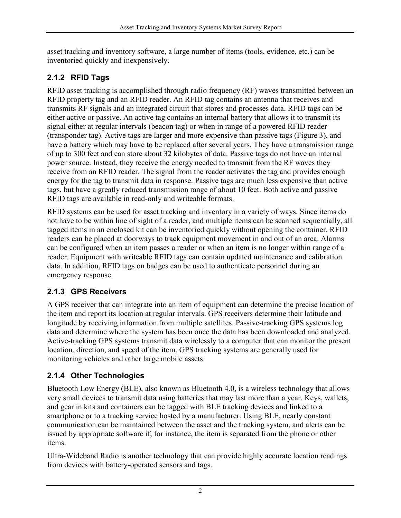asset tracking and inventory software, a large number of items (tools, evidence, etc.) can be inventoried quickly and inexpensively.

#### <span id="page-7-0"></span>**2.1.2 RFID Tags**

RFID asset tracking is accomplished through radio frequency (RF) waves transmitted between an RFID property tag and an RFID reader. An RFID tag contains an antenna that receives and transmits RF signals and an integrated circuit that stores and processes data. RFID tags can be either active or passive. An active tag contains an internal battery that allows it to transmit its signal either at regular intervals (beacon tag) or when in range of a powered RFID reader (transponder tag). Active tags are larger and more expensive than passive tags (Figure 3), and have a battery which may have to be replaced after several years. They have a transmission range of up to 300 feet and can store about 32 kilobytes of data. Passive tags do not have an internal power source. Instead, they receive the energy needed to transmit from the RF waves they receive from an RFID reader. The signal from the reader activates the tag and provides enough energy for the tag to transmit data in response. Passive tags are much less expensive than active tags, but have a greatly reduced transmission range of about 10 feet. Both active and passive RFID tags are available in read-only and writeable formats.

RFID systems can be used for asset tracking and inventory in a variety of ways. Since items do not have to be within line of sight of a reader, and multiple items can be scanned sequentially, all tagged items in an enclosed kit can be inventoried quickly without opening the container. RFID readers can be placed at doorways to track equipment movement in and out of an area. Alarms can be configured when an item passes a reader or when an item is no longer within range of a reader. Equipment with writeable RFID tags can contain updated maintenance and calibration data. In addition, RFID tags on badges can be used to authenticate personnel during an emergency response.

#### <span id="page-7-1"></span>**2.1.3 GPS Receivers**

A GPS receiver that can integrate into an item of equipment can determine the precise location of the item and report its location at regular intervals. GPS receivers determine their latitude and longitude by receiving information from multiple satellites. Passive-tracking GPS systems log data and determine where the system has been once the data has been downloaded and analyzed. Active-tracking GPS systems transmit data wirelessly to a computer that can monitor the present location, direction, and speed of the item. GPS tracking systems are generally used for monitoring vehicles and other large mobile assets.

#### <span id="page-7-2"></span>**2.1.4 Other Technologies**

Bluetooth Low Energy (BLE), also known as Bluetooth 4.0, is a wireless technology that allows very small devices to transmit data using batteries that may last more than a year. Keys, wallets, and gear in kits and containers can be tagged with BLE tracking devices and linked to a smartphone or to a tracking service hosted by a manufacturer. Using BLE, nearly constant communication can be maintained between the asset and the tracking system, and alerts can be issued by appropriate software if, for instance, the item is separated from the phone or other items.

Ultra-Wideband Radio is another technology that can provide highly accurate location readings from devices with battery-operated sensors and tags.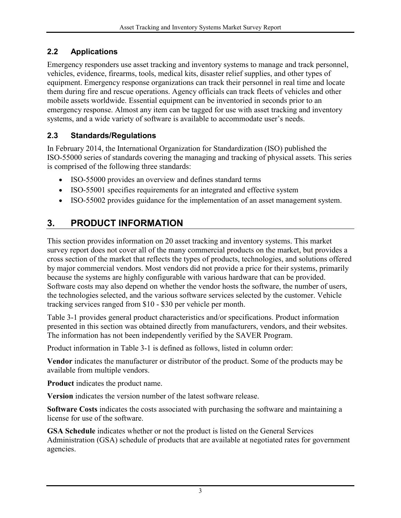#### <span id="page-8-0"></span>**2.2 Applications**

Emergency responders use asset tracking and inventory systems to manage and track personnel, vehicles, evidence, firearms, tools, medical kits, disaster relief supplies, and other types of equipment. Emergency response organizations can track their personnel in real time and locate them during fire and rescue operations. Agency officials can track fleets of vehicles and other mobile assets worldwide. Essential equipment can be inventoried in seconds prior to an emergency response. Almost any item can be tagged for use with asset tracking and inventory systems, and a wide variety of software is available to accommodate user's needs.

#### <span id="page-8-1"></span>**2.3 Standards/Regulations**

In February 2014, the International Organization for Standardization (ISO) published the ISO-55000 series of standards covering the managing and tracking of physical assets. This series is comprised of the following three standards:

- ISO-55000 provides an overview and defines standard terms
- ISO-55001 specifies requirements for an integrated and effective system
- ISO-55002 provides guidance for the implementation of an asset management system.

# <span id="page-8-2"></span>**3. PRODUCT INFORMATION**

This section provides information on 20 asset tracking and inventory systems. This market survey report does not cover all of the many commercial products on the market, but provides a cross section of the market that reflects the types of products, technologies, and solutions offered by major commercial vendors. Most vendors did not provide a price for their systems, primarily because the systems are highly configurable with various hardware that can be provided. Software costs may also depend on whether the vendor hosts the software, the number of users, the technologies selected, and the various software services selected by the customer. Vehicle tracking services ranged from \$10 - \$30 per vehicle per month.

[Table 3-1](#page-10-0) provides general product characteristics and/or specifications. Product information presented in this section was obtained directly from manufacturers, vendors, and their websites. The information has not been independently verified by the SAVER Program.

Product information in Table 3-1 is defined as follows, listed in column order:

**Vendor** indicates the manufacturer or distributor of the product. Some of the products may be available from multiple vendors.

**Product** indicates the product name.

**Version** indicates the version number of the latest software release.

**Software Costs** indicates the costs associated with purchasing the software and maintaining a license for use of the software.

**GSA Schedule** indicates whether or not the product is listed on the General Services Administration (GSA) schedule of products that are available at negotiated rates for government agencies.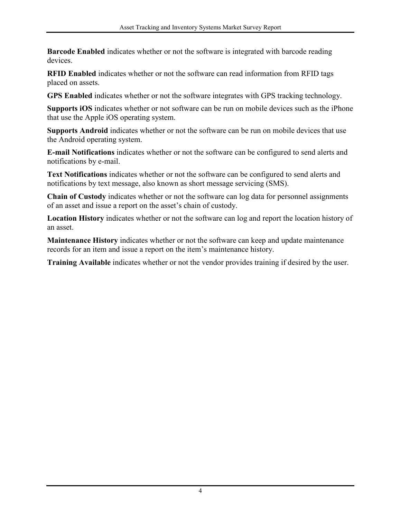**Barcode Enabled** indicates whether or not the software is integrated with barcode reading devices.

**RFID Enabled** indicates whether or not the software can read information from RFID tags placed on assets.

**GPS Enabled** indicates whether or not the software integrates with GPS tracking technology.

**Supports iOS** indicates whether or not software can be run on mobile devices such as the iPhone that use the Apple iOS operating system.

**Supports Android** indicates whether or not the software can be run on mobile devices that use the Android operating system.

**E-mail Notifications** indicates whether or not the software can be configured to send alerts and notifications by e-mail.

**Text Notifications** indicates whether or not the software can be configured to send alerts and notifications by text message, also known as short message servicing (SMS).

**Chain of Custody** indicates whether or not the software can log data for personnel assignments of an asset and issue a report on the asset's chain of custody.

**Location History** indicates whether or not the software can log and report the location history of an asset.

**Maintenance History** indicates whether or not the software can keep and update maintenance records for an item and issue a report on the item's maintenance history.

**Training Available** indicates whether or not the vendor provides training if desired by the user.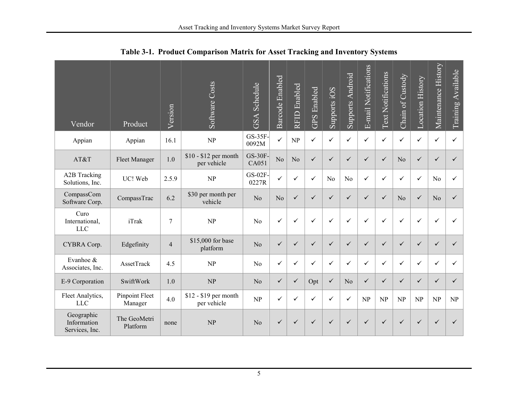<span id="page-10-0"></span>

| Vendor                                      | Product                   | Version        | Software Costs                       | <b>GSA</b> Schedule | <b>Barcode Enabled</b> | <b>RFID</b> Enabled | <b>GPS</b> Enabled | Supports iOS   | <b>Supports Android</b> | E-mail Notifications | <b>Text Notifications</b> | Chain of Custody | <b>Location History</b> | Maintenance History | Training Available |
|---------------------------------------------|---------------------------|----------------|--------------------------------------|---------------------|------------------------|---------------------|--------------------|----------------|-------------------------|----------------------|---------------------------|------------------|-------------------------|---------------------|--------------------|
| Appian                                      | Appian                    | 16.1           | NP                                   | GS-35F-<br>0092M    | $\checkmark$           | NP                  | $\checkmark$       | $\checkmark$   | ✓                       | $\checkmark$         | $\checkmark$              | ✓                | $\checkmark$            | $\checkmark$        | $\checkmark$       |
| AT&T                                        | <b>Fleet Manager</b>      | 1.0            | $$10 - $12$ per month<br>per vehicle | $GS-30F-$<br>CA051  | No                     | N <sub>o</sub>      | $\checkmark$       | $\checkmark$   | $\checkmark$            | $\checkmark$         | $\checkmark$              | No               | $\checkmark$            | $\checkmark$        | ✓                  |
| A2B Tracking<br>Solutions, Inc.             | UC! Web                   | 2.5.9          | NP                                   | GS-02F-<br>0227R    | ✓                      | ✓                   | ✓                  | N <sub>0</sub> | N <sub>0</sub>          | ✓                    | $\checkmark$              | ✓                | $\checkmark$            | N <sub>0</sub>      | ✓                  |
| CompassCom<br>Software Corp.                | CompassTrac               | 6.2            | \$30 per month per<br>vehicle        | N <sub>o</sub>      | N <sub>o</sub>         | $\checkmark$        | $\checkmark$       | $\checkmark$   | ✓                       | $\checkmark$         | $\checkmark$              | N <sub>o</sub>   | $\checkmark$            | N <sub>o</sub>      | ✓                  |
| Curo<br>International,<br>LLC               | iTrak                     | $\overline{7}$ | NP                                   | N <sub>o</sub>      | $\checkmark$           | ✓                   | ✓                  | ✓              | $\checkmark$            | ✓                    | $\checkmark$              | ✓                | $\checkmark$            | ✓                   | ✓                  |
| CYBRA Corp.                                 | Edgefinity                | $\overline{4}$ | \$15,000 for base<br>platform        | N <sub>o</sub>      | $\checkmark$           | $\checkmark$        | $\checkmark$       | $\checkmark$   | $\checkmark$            | $\checkmark$         | $\checkmark$              | $\checkmark$     | $\checkmark$            | $\checkmark$        | ✓                  |
| Evanhoe &<br>Associates, Inc.               | AssetTrack                | 4.5            | NP                                   | N <sub>o</sub>      | $\checkmark$           | ✓                   | ✓                  | ✓              | $\checkmark$            | ✓                    | $\checkmark$              | ✓                | $\checkmark$            | ✓                   | ✓                  |
| E-9 Corporation                             | SwiftWork                 | 1.0            | NP                                   | N <sub>o</sub>      | $\checkmark$           | $\checkmark$        | Opt                | $\checkmark$   | N <sub>o</sub>          | $\checkmark$         | $\checkmark$              | $\checkmark$     | $\checkmark$            | $\checkmark$        | ✓                  |
| Fleet Analytics,<br><b>LLC</b>              | Pinpoint Fleet<br>Manager | 4.0            | \$12 - \$19 per month<br>per vehicle | NP                  | $\checkmark$           | $\checkmark$        | ✓                  | $\checkmark$   | $\checkmark$            | NP                   | NP                        | NP               | NP                      | NP                  | NP                 |
| Geographic<br>Information<br>Services, Inc. | The GeoMetri<br>Platform  | none           | NP                                   | No                  | ✓                      | ✓                   | ✓                  | $\checkmark$   | ✓                       | ✓                    | ✓                         | ✓                | ✓                       | $\checkmark$        | $\checkmark$       |

**Table 3-1. Product Comparison Matrix for Asset Tracking and Inventory Systems**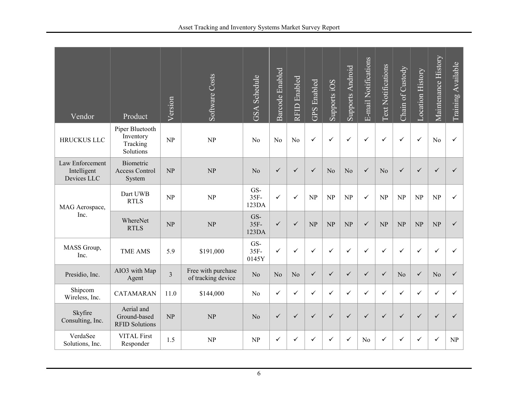| Vendor                                        | Product                                               | Version        | Software Costs                           | <b>GSA</b> Schedule  | Barcode Enabled | <b>RFID</b> Enabled | <b>GPS</b> Enabled | Supports iOS   | <b>Supports Android</b> | E-mail Notifications | <b>Text Notifications</b> | Chain of Custody | <b>Location History</b> | Maintenance History | Training Available              |
|-----------------------------------------------|-------------------------------------------------------|----------------|------------------------------------------|----------------------|-----------------|---------------------|--------------------|----------------|-------------------------|----------------------|---------------------------|------------------|-------------------------|---------------------|---------------------------------|
| <b>HRUCKUS LLC</b>                            | Piper Bluetooth<br>Inventory<br>Tracking<br>Solutions | NP             | NP                                       | N <sub>o</sub>       | N <sub>o</sub>  | N <sub>o</sub>      | $\checkmark$       | ✓              | ✓                       | $\checkmark$         | $\checkmark$              | $\checkmark$     | $\checkmark$            | N <sub>o</sub>      | ✓                               |
| Law Enforcement<br>Intelligent<br>Devices LLC | Biometric<br><b>Access Control</b><br>System          | NP             | NP                                       | N <sub>o</sub>       | $\checkmark$    | $\checkmark$        | $\checkmark$       | N <sub>o</sub> | N <sub>o</sub>          | ✓                    | N <sub>o</sub>            | $\checkmark$     | $\checkmark$            | $\checkmark$        | ✓                               |
| MAG Aerospace,                                | Dart UWB<br><b>RTLS</b>                               | NP             | NP                                       | GS-<br>35F<br>123DA  | ✓               | $\checkmark$        | NP                 | <b>NP</b>      | NP                      | $\checkmark$         | NP                        | NP               | NP                      | NP                  | ✓                               |
| Inc.                                          | WhereNet<br><b>RTLS</b>                               | NP             | NP                                       | GS-<br>35F-<br>123DA | $\checkmark$    | $\checkmark$        | NP                 | NP             | NP                      | ✓                    | NP                        | NP               | NP                      | NP                  | $\checkmark$                    |
| MASS Group,<br>Inc.                           | <b>TME AMS</b>                                        | 5.9            | \$191,000                                | GS-<br>35F<br>0145Y  | $\checkmark$    | $\checkmark$        | ✓                  | ✓              | ✓                       | ✓                    | $\checkmark$              | $\checkmark$     | $\checkmark$            | $\checkmark$        | ✓                               |
| Presidio, Inc.                                | AIO3 with Map<br>Agent                                | $\overline{3}$ | Free with purchase<br>of tracking device | N <sub>o</sub>       | N <sub>o</sub>  | No                  | $\checkmark$       | $\checkmark$   | $\checkmark$            | ✓                    | $\checkmark$              | N <sub>o</sub>   | $\checkmark$            | N <sub>o</sub>      | $\checkmark$                    |
| Shipcom<br>Wireless, Inc.                     | CATAMARAN                                             | 11.0           | \$144,000                                | N <sub>o</sub>       | $\checkmark$    | $\checkmark$        | ✓                  | ✓              | ✓                       | ✓                    | $\checkmark$              | $\checkmark$     | $\checkmark$            | ✓                   | ✓                               |
| Skyfire<br>Consulting, Inc.                   | Aerial and<br>Ground-based<br><b>RFID Solutions</b>   | NP             | NP                                       | N <sub>o</sub>       | $\checkmark$    | $\checkmark$        | $\checkmark$       | $\checkmark$   | ✓                       | ✓                    | $\checkmark$              | $\checkmark$     | $\checkmark$            | $\checkmark$        | $\checkmark$                    |
| VerdaSee<br>Solutions, Inc.                   | <b>VITAL First</b><br>Responder                       | 1.5            | <b>NP</b>                                | NP                   | ✓               | $\checkmark$        | ✓                  | ✓              | ✓                       | N <sub>0</sub>       | $\checkmark$              | ✓                | ✓                       | ✓                   | $\ensuremath{\text{NP}}\xspace$ |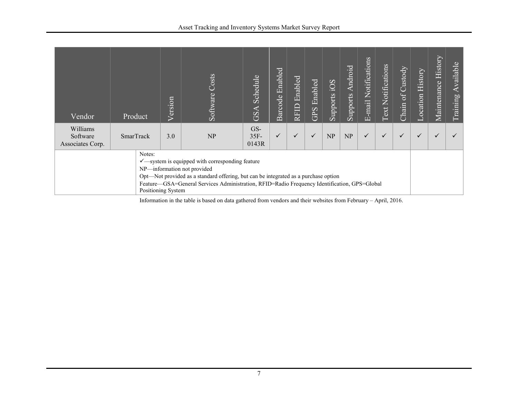| Vendor                                                                                                                                                                                                                                                                                                            | Product   | Version | Costs<br>Software | Schedule<br>GSA         | Enabled<br>Barcode | Enabled<br>RFID <sup>®</sup> | Enabled<br>GPS | SOi<br>Supports | <b>Android</b><br>Supports | Notifications<br>$E$ -mail | <b>Text Notifications</b> | $of$ Custody<br>Chain | History<br>ocation | Maintenance History | <b>Available</b><br>Training |
|-------------------------------------------------------------------------------------------------------------------------------------------------------------------------------------------------------------------------------------------------------------------------------------------------------------------|-----------|---------|-------------------|-------------------------|--------------------|------------------------------|----------------|-----------------|----------------------------|----------------------------|---------------------------|-----------------------|--------------------|---------------------|------------------------------|
| Williams<br>Software<br>Associates Corp.                                                                                                                                                                                                                                                                          | SmarTrack | 3.0     | NP                | GS-<br>$35F -$<br>0143R | $\checkmark$       |                              | $\checkmark$   | NP              | NP                         |                            | ✓                         | $\checkmark$          | $\checkmark$       | $\checkmark$        |                              |
| Notes:<br>$\checkmark$ —system is equipped with corresponding feature<br>NP-information not provided<br>Opt-Not provided as a standard offering, but can be integrated as a purchase option<br>Feature-GSA=General Services Administration, RFID=Radio Frequency Identification, GPS=Global<br>Positioning System |           |         |                   |                         |                    |                              |                |                 |                            |                            |                           |                       |                    |                     |                              |

Information in the table is based on data gathered from vendors and their websites from February – April, 2016.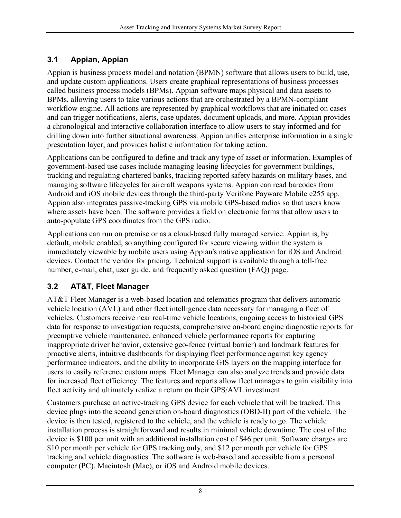#### <span id="page-13-0"></span>**3.1 Appian, Appian**

Appian is business process model and notation (BPMN) software that allows users to build, use, and update custom applications. Users create graphical representations of business processes called business process models (BPMs). Appian software maps physical and data assets to BPMs, allowing users to take various actions that are orchestrated by a BPMN-compliant workflow engine. All actions are represented by graphical workflows that are initiated on cases and can trigger notifications, alerts, case updates, document uploads, and more. Appian provides a chronological and interactive collaboration interface to allow users to stay informed and for drilling down into further situational awareness. Appian unifies enterprise information in a single presentation layer, and provides holistic information for taking action.

Applications can be configured to define and track any type of asset or information. Examples of government-based use cases include managing leasing lifecycles for government buildings, tracking and regulating chartered banks, tracking reported safety hazards on military bases, and managing software lifecycles for aircraft weapons systems. Appian can read barcodes from Android and iOS mobile devices through the third-party Verifone Payware Mobile e255 app. Appian also integrates passive-tracking GPS via mobile GPS-based radios so that users know where assets have been. The software provides a field on electronic forms that allow users to auto-populate GPS coordinates from the GPS radio.

Applications can run on premise or as a cloud-based fully managed service. Appian is, by default, mobile enabled, so anything configured for secure viewing within the system is immediately viewable by mobile users using Appian's native application for iOS and Android devices. Contact the vendor for pricing. Technical support is available through a toll-free number, e-mail, chat, user guide, and frequently asked question (FAQ) page.

#### <span id="page-13-1"></span>**3.2 AT&T, Fleet Manager**

AT&T Fleet Manager is a web-based location and telematics program that delivers automatic vehicle location (AVL) and other fleet intelligence data necessary for managing a fleet of vehicles. Customers receive near real-time vehicle locations, ongoing access to historical GPS data for response to investigation requests, comprehensive on-board engine diagnostic reports for preemptive vehicle maintenance, enhanced vehicle performance reports for capturing inappropriate driver behavior, extensive geo-fence (virtual barrier) and landmark features for proactive alerts, intuitive dashboards for displaying fleet performance against key agency performance indicators, and the ability to incorporate GIS layers on the mapping interface for users to easily reference custom maps. Fleet Manager can also analyze trends and provide data for increased fleet efficiency. The features and reports allow fleet managers to gain visibility into fleet activity and ultimately realize a return on their GPS/AVL investment.

Customers purchase an active-tracking GPS device for each vehicle that will be tracked. This device plugs into the second generation on-board diagnostics (OBD-II) port of the vehicle. The device is then tested, registered to the vehicle, and the vehicle is ready to go. The vehicle installation process is straightforward and results in minimal vehicle downtime. The cost of the device is \$100 per unit with an additional installation cost of \$46 per unit. Software charges are \$10 per month per vehicle for GPS tracking only, and \$12 per month per vehicle for GPS tracking and vehicle diagnostics. The software is web-based and accessible from a personal computer (PC), Macintosh (Mac), or iOS and Android mobile devices.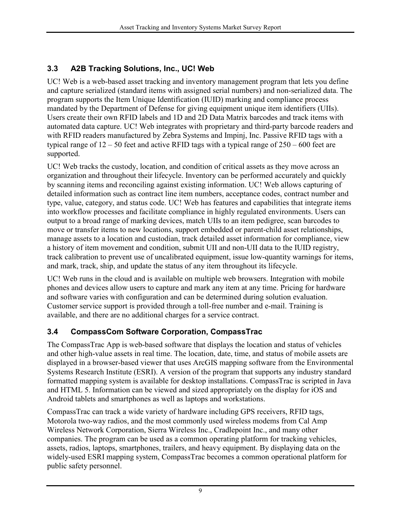#### <span id="page-14-0"></span>**3.3 A2B Tracking Solutions, Inc., UC! Web**

UC! Web is a web-based asset tracking and inventory management program that lets you define and capture serialized (standard items with assigned serial numbers) and non-serialized data. The program supports the Item Unique Identification (IUID) marking and compliance process mandated by the Department of Defense for giving equipment unique item identifiers (UIIs). Users create their own RFID labels and 1D and 2D Data Matrix barcodes and track items with automated data capture. UC! Web integrates with proprietary and third-party barcode readers and with RFID readers manufactured by Zebra Systems and Impinj, Inc. Passive RFID tags with a typical range of  $12 - 50$  feet and active RFID tags with a typical range of  $250 - 600$  feet are supported.

UC! Web tracks the custody, location, and condition of critical assets as they move across an organization and throughout their lifecycle. Inventory can be performed accurately and quickly by scanning items and reconciling against existing information. UC! Web allows capturing of detailed information such as contract line item numbers, acceptance codes, contract number and type, value, category, and status code. UC! Web has features and capabilities that integrate items into workflow processes and facilitate compliance in highly regulated environments. Users can output to a broad range of marking devices, match UIIs to an item pedigree, scan barcodes to move or transfer items to new locations, support embedded or parent-child asset relationships, manage assets to a location and custodian, track detailed asset information for compliance, view a history of item movement and condition, submit UII and non-UII data to the IUID registry, track calibration to prevent use of uncalibrated equipment, issue low-quantity warnings for items, and mark, track, ship, and update the status of any item throughout its lifecycle.

UC! Web runs in the cloud and is available on multiple web browsers. Integration with mobile phones and devices allow users to capture and mark any item at any time. Pricing for hardware and software varies with configuration and can be determined during solution evaluation. Customer service support is provided through a toll-free number and e-mail. Training is available, and there are no additional charges for a service contract.

#### <span id="page-14-1"></span>**3.4 CompassCom Software Corporation, CompassTrac**

The CompassTrac App is web-based software that displays the location and status of vehicles and other high-value assets in real time. The location, date, time, and status of mobile assets are displayed in a browser-based viewer that uses ArcGIS mapping software from the Environmental Systems Research Institute (ESRI). A version of the program that supports any industry standard formatted mapping system is available for desktop installations. CompassTrac is scripted in Java and HTML 5. Information can be viewed and sized appropriately on the display for iOS and Android tablets and smartphones as well as laptops and workstations.

CompassTrac can track a wide variety of hardware including GPS receivers, RFID tags, Motorola two-way radios, and the most commonly used wireless modems from Cal Amp Wireless Network Corporation, Sierra Wireless Inc., Cradlepoint Inc., and many other companies. The program can be used as a common operating platform for tracking vehicles, assets, radios, laptops, smartphones, trailers, and heavy equipment. By displaying data on the widely-used ESRI mapping system, CompassTrac becomes a common operational platform for public safety personnel.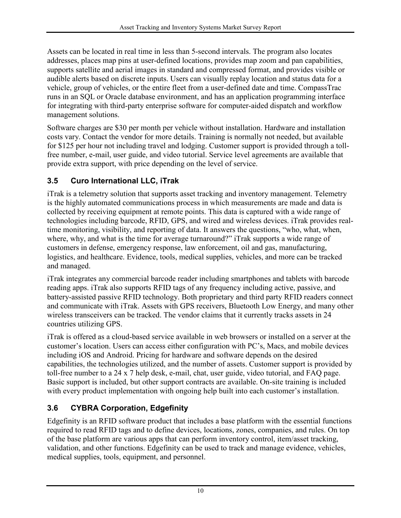Assets can be located in real time in less than 5-second intervals. The program also locates addresses, places map pins at user-defined locations, provides map zoom and pan capabilities, supports satellite and aerial images in standard and compressed format, and provides visible or audible alerts based on discrete inputs. Users can visually replay location and status data for a vehicle, group of vehicles, or the entire fleet from a user-defined date and time. CompassTrac runs in an SQL or Oracle database environment, and has an application programming interface for integrating with third-party enterprise software for computer-aided dispatch and workflow management solutions.

Software charges are \$30 per month per vehicle without installation. Hardware and installation costs vary. Contact the vendor for more details. Training is normally not needed, but available for \$125 per hour not including travel and lodging. Customer support is provided through a tollfree number, e-mail, user guide, and video tutorial. Service level agreements are available that provide extra support, with price depending on the level of service.

#### <span id="page-15-0"></span>**3.5 Curo International LLC, iTrak**

iTrak is a telemetry solution that supports asset tracking and inventory management. Telemetry is the highly automated communications process in which measurements are made and data is collected by receiving equipment at remote points. This data is captured with a wide range of technologies including barcode, RFID, GPS, and wired and wireless devices. iTrak provides realtime monitoring, visibility, and reporting of data. It answers the questions, "who, what, when, where, why, and what is the time for average turnaround?" iTrak supports a wide range of customers in defense, emergency response, law enforcement, oil and gas, manufacturing, logistics, and healthcare. Evidence, tools, medical supplies, vehicles, and more can be tracked and managed.

iTrak integrates any commercial barcode reader including smartphones and tablets with barcode reading apps. iTrak also supports RFID tags of any frequency including active, passive, and battery-assisted passive RFID technology. Both proprietary and third party RFID readers connect and communicate with iTrak. Assets with GPS receivers, Bluetooth Low Energy, and many other wireless transceivers can be tracked. The vendor claims that it currently tracks assets in 24 countries utilizing GPS.

iTrak is offered as a cloud-based service available in web browsers or installed on a server at the customer's location. Users can access either configuration with PC's, Macs, and mobile devices including iOS and Android. Pricing for hardware and software depends on the desired capabilities, the technologies utilized, and the number of assets. Customer support is provided by toll-free number to a 24 x 7 help desk, e-mail, chat, user guide, video tutorial, and FAQ page. Basic support is included, but other support contracts are available. On-site training is included with every product implementation with ongoing help built into each customer's installation.

#### <span id="page-15-1"></span>**3.6 CYBRA Corporation, Edgefinity**

Edgefinity is an RFID software product that includes a base platform with the essential functions required to read RFID tags and to define devices, locations, zones, companies, and rules. On top of the base platform are various apps that can perform inventory control, item/asset tracking, validation, and other functions. Edgefinity can be used to track and manage evidence, vehicles, medical supplies, tools, equipment, and personnel.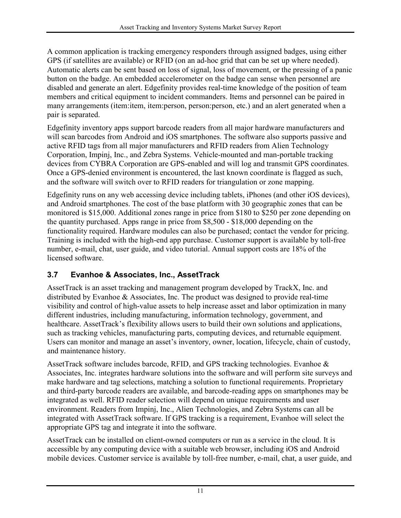A common application is tracking emergency responders through assigned badges, using either GPS (if satellites are available) or RFID (on an ad-hoc grid that can be set up where needed). Automatic alerts can be sent based on loss of signal, loss of movement, or the pressing of a panic button on the badge. An embedded accelerometer on the badge can sense when personnel are disabled and generate an alert. Edgefinity provides real-time knowledge of the position of team members and critical equipment to incident commanders. Items and personnel can be paired in many arrangements (item:item, item:person, person:person, etc.) and an alert generated when a pair is separated.

Edgefinity inventory apps support barcode readers from all major hardware manufacturers and will scan barcodes from Android and iOS smartphones. The software also supports passive and active RFID tags from all major manufacturers and RFID readers from Alien Technology Corporation, Impinj, Inc., and Zebra Systems. Vehicle-mounted and man-portable tracking devices from CYBRA Corporation are GPS-enabled and will log and transmit GPS coordinates. Once a GPS-denied environment is encountered, the last known coordinate is flagged as such, and the software will switch over to RFID readers for triangulation or zone mapping.

Edgefinity runs on any web accessing device including tablets, iPhones (and other iOS devices), and Android smartphones. The cost of the base platform with 30 geographic zones that can be monitored is \$15,000. Additional zones range in price from \$180 to \$250 per zone depending on the quantity purchased. Apps range in price from \$8,500 - \$18,000 depending on the functionality required. Hardware modules can also be purchased; contact the vendor for pricing. Training is included with the high-end app purchase. Customer support is available by toll-free number, e-mail, chat, user guide, and video tutorial. Annual support costs are 18% of the licensed software.

#### <span id="page-16-0"></span>**3.7 Evanhoe & Associates, Inc., AssetTrack**

AssetTrack is an asset tracking and management program developed by TrackX, Inc. and distributed by Evanhoe & Associates, Inc. The product was designed to provide real-time visibility and control of high-value assets to help increase asset and labor optimization in many different industries, including manufacturing, information technology, government, and healthcare. AssetTrack's flexibility allows users to build their own solutions and applications, such as tracking vehicles, manufacturing parts, computing devices, and returnable equipment. Users can monitor and manage an asset's inventory, owner, location, lifecycle, chain of custody, and maintenance history.

AssetTrack software includes barcode, RFID, and GPS tracking technologies. Evanhoe & Associates, Inc. integrates hardware solutions into the software and will perform site surveys and make hardware and tag selections, matching a solution to functional requirements. Proprietary and third-party barcode readers are available, and barcode-reading apps on smartphones may be integrated as well. RFID reader selection will depend on unique requirements and user environment. Readers from Impinj, Inc., Alien Technologies, and Zebra Systems can all be integrated with AssetTrack software. If GPS tracking is a requirement, Evanhoe will select the appropriate GPS tag and integrate it into the software.

AssetTrack can be installed on client-owned computers or run as a service in the cloud. It is accessible by any computing device with a suitable web browser, including iOS and Android mobile devices. Customer service is available by toll-free number, e-mail, chat, a user guide, and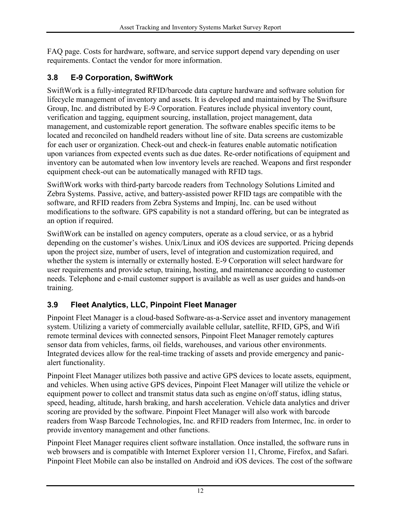FAQ page. Costs for hardware, software, and service support depend vary depending on user requirements. Contact the vendor for more information.

#### <span id="page-17-0"></span>**3.8 E-9 Corporation, SwiftWork**

SwiftWork is a fully-integrated RFID/barcode data capture hardware and software solution for lifecycle management of inventory and assets. It is developed and maintained by The Swiftsure Group, Inc. and distributed by E-9 Corporation. Features include physical inventory count, verification and tagging, equipment sourcing, installation, project management, data management, and customizable report generation. The software enables specific items to be located and reconciled on handheld readers without line of site. Data screens are customizable for each user or organization. Check-out and check-in features enable automatic notification upon variances from expected events such as due dates. Re-order notifications of equipment and inventory can be automated when low inventory levels are reached. Weapons and first responder equipment check-out can be automatically managed with RFID tags.

SwiftWork works with third-party barcode readers from Technology Solutions Limited and Zebra Systems. Passive, active, and battery-assisted power RFID tags are compatible with the software, and RFID readers from Zebra Systems and Impinj, Inc. can be used without modifications to the software. GPS capability is not a standard offering, but can be integrated as an option if required.

SwiftWork can be installed on agency computers, operate as a cloud service, or as a hybrid depending on the customer's wishes. Unix/Linux and iOS devices are supported. Pricing depends upon the project size, number of users, level of integration and customization required, and whether the system is internally or externally hosted. E-9 Corporation will select hardware for user requirements and provide setup, training, hosting, and maintenance according to customer needs. Telephone and e-mail customer support is available as well as user guides and hands-on training.

#### <span id="page-17-1"></span>**3.9 Fleet Analytics, LLC, Pinpoint Fleet Manager**

Pinpoint Fleet Manager is a cloud-based Software-as-a-Service asset and inventory management system. Utilizing a variety of commercially available cellular, satellite, RFID, GPS, and Wifi remote terminal devices with connected sensors, Pinpoint Fleet Manager remotely captures sensor data from vehicles, farms, oil fields, warehouses, and various other environments. Integrated devices allow for the real-time tracking of assets and provide emergency and panicalert functionality.

Pinpoint Fleet Manager utilizes both passive and active GPS devices to locate assets, equipment, and vehicles. When using active GPS devices, Pinpoint Fleet Manager will utilize the vehicle or equipment power to collect and transmit status data such as engine on/off status, idling status, speed, heading, altitude, harsh braking, and harsh acceleration. Vehicle data analytics and driver scoring are provided by the software. Pinpoint Fleet Manager will also work with barcode readers from Wasp Barcode Technologies, Inc. and RFID readers from Intermec, Inc. in order to provide inventory management and other functions.

Pinpoint Fleet Manager requires client software installation. Once installed, the software runs in web browsers and is compatible with Internet Explorer version 11, Chrome, Firefox, and Safari. Pinpoint Fleet Mobile can also be installed on Android and iOS devices. The cost of the software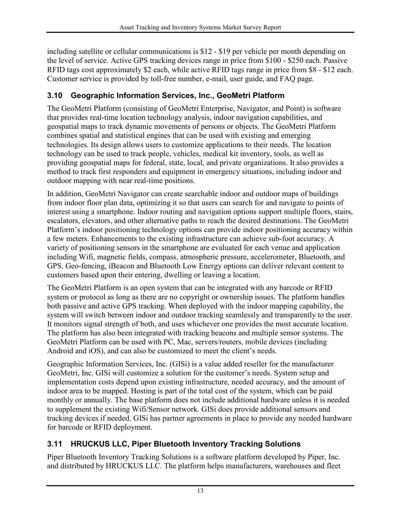including satellite or cellular communications is \$12 - \$19 per vehicle per month depending on the level of service. Active GPS tracking devices range in price from \$100 - \$250 each. Passive RFID tags cost approximately \$2 each, while active RFID tags range in price from \$8 - \$12 each. Customer service is provided by toll-free number, e-mail, user guide, and FAQ page.

#### <span id="page-18-0"></span>**3.10 Geographic Information Services, Inc., GeoMetri Platform**

The GeoMetri Platform (consisting of GeoMetri Enterprise, Navigator, and Point) is software that provides real-time location technology analysis, indoor navigation capabilities, and geospatial maps to track dynamic movements of persons or objects. The GeoMetri Platform combines spatial and statistical engines that can be used with existing and emerging technologies. Its design allows users to customize applications to their needs. The location technology can be used to track people, vehicles, medical kit inventory, tools, as well as providing geospatial maps for federal, state, local, and private organizations. It also provides a method to track first responders and equipment in emergency situations, including indoor and outdoor mapping with near real-time positions.

In addition, GeoMetri Navigator can create searchable indoor and outdoor maps of buildings from indoor floor plan data, optimizing it so that users can search for and navigate to points of interest using a smartphone. Indoor routing and navigation options support multiple floors, stairs, escalators, elevators, and other alternative paths to reach the desired destinations. The GeoMetri Platform's indoor positioning technology options can provide indoor positioning accuracy within a few meters. Enhancements to the existing infrastructure can achieve sub-foot accuracy. A variety of positioning sensors in the smartphone are evaluated for each venue and application including Wifi, magnetic fields, compass, atmospheric pressure, accelerometer, Bluetooth, and GPS. Geo-fencing, iBeacon and Bluetooth Low Energy options can deliver relevant content to customers based upon their entering, dwelling or leaving a location.

The GeoMetri Platform is an open system that can be integrated with any barcode or RFID system or protocol as long as there are no copyright or ownership issues. The platform handles both passive and active GPS tracking. When deployed with the indoor mapping capability, the system will switch between indoor and outdoor tracking seamlessly and transparently to the user. It monitors signal strength of both, and uses whichever one provides the most accurate location. The platform has also been integrated with tracking beacons and multiple sensor systems. The GeoMetri Platform can be used with PC, Mac, servers/routers, mobile devices (including Android and iOS), and can also be customized to meet the client's needs.

Geographic Information Services, Inc. (GISi) is a value added reseller for the manufacturer GeoMetri, Inc. GISi will customize a solution for the customer's needs. System setup and implementation costs depend upon existing infrastructure, needed accuracy, and the amount of indoor area to be mapped. Hosting is part of the total cost of the system, which can be paid monthly or annually. The base platform does not include additional hardware unless it is needed to supplement the existing Wifi/Sensor network. GISi does provide additional sensors and tracking devices if needed. GISi has partner agreements in place to provide any needed hardware for barcode or RFID deployment.

#### <span id="page-18-1"></span>**3.11 HRUCKUS LLC, Piper Bluetooth Inventory Tracking Solutions**

Piper Bluetooth Inventory Tracking Solutions is a software platform developed by Piper, Inc. and distributed by HRUCKUS LLC. The platform helps manufacturers, warehouses and fleet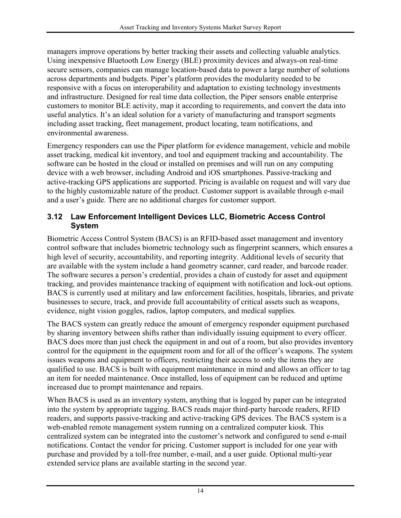managers improve operations by better tracking their assets and collecting valuable analytics. Using inexpensive Bluetooth Low Energy (BLE) proximity devices and always-on real-time secure sensors, companies can manage location-based data to power a large number of solutions across departments and budgets. Piper's platform provides the modularity needed to be responsive with a focus on interoperability and adaptation to existing technology investments and infrastructure. Designed for real time data collection, the Piper sensors enable enterprise customers to monitor BLE activity, map it according to requirements, and convert the data into useful analytics. It's an ideal solution for a variety of manufacturing and transport segments including asset tracking, fleet management, product locating, team notifications, and environmental awareness.

Emergency responders can use the Piper platform for evidence management, vehicle and mobile asset tracking, medical kit inventory, and tool and equipment tracking and accountability. The software can be hosted in the cloud or installed on premises and will run on any computing device with a web browser, including Android and iOS smartphones. Passive-tracking and active-tracking GPS applications are supported. Pricing is available on request and will vary due to the highly customizable nature of the product. Customer support is available through e-mail and a user's guide. There are no additional charges for customer support.

#### <span id="page-19-0"></span>**3.12 Law Enforcement Intelligent Devices LLC, Biometric Access Control System**

Biometric Access Control System (BACS) is an RFID-based asset management and inventory control software that includes biometric technology such as fingerprint scanners, which ensures a high level of security, accountability, and reporting integrity. Additional levels of security that are available with the system include a hand geometry scanner, card reader, and barcode reader. The software secures a person's credential, provides a chain of custody for asset and equipment tracking, and provides maintenance tracking of equipment with notification and lock-out options. BACS is currently used at military and law enforcement facilities, hospitals, libraries, and private businesses to secure, track, and provide full accountability of critical assets such as weapons, evidence, night vision goggles, radios, laptop computers, and medical supplies.

The BACS system can greatly reduce the amount of emergency responder equipment purchased by sharing inventory between shifts rather than individually issuing equipment to every officer. BACS does more than just check the equipment in and out of a room, but also provides inventory control for the equipment in the equipment room and for all of the officer's weapons. The system issues weapons and equipment to officers, restricting their access to only the items they are qualified to use. BACS is built with equipment maintenance in mind and allows an officer to tag an item for needed maintenance. Once installed, loss of equipment can be reduced and uptime increased due to prompt maintenance and repairs.

When BACS is used as an inventory system, anything that is logged by paper can be integrated into the system by appropriate tagging. BACS reads major third-party barcode readers, RFID readers, and supports passive-tracking and active-tracking GPS devices. The BACS system is a web-enabled remote management system running on a centralized computer kiosk. This centralized system can be integrated into the customer's network and configured to send e-mail notifications. Contact the vendor for pricing. Customer support is included for one year with purchase and provided by a toll-free number, e-mail, and a user guide. Optional multi-year extended service plans are available starting in the second year.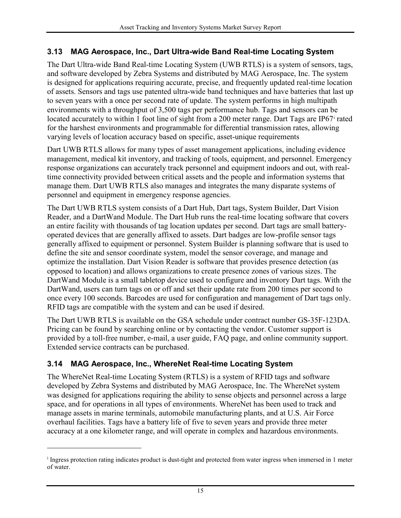#### <span id="page-20-0"></span>**3.13 MAG Aerospace, Inc., Dart Ultra-wide Band Real-time Locating System**

The Dart Ultra-wide Band Real-time Locating System (UWB RTLS) is a system of sensors, tags, and software developed by Zebra Systems and distributed by MAG Aerospace, Inc. The system is designed for applications requiring accurate, precise, and frequently updated real-time location of assets. Sensors and tags use patented ultra-wide band techniques and have batteries that last up to seven years with a once per second rate of update. The system performs in high multipath environments with a throughput of 3,500 tags per performance hub. Tags and sensors can be located accurately to w[i](#page-20-2)thin 1 foot line of sight from a 200 meter range. Dart Tags are IP67<sup>i</sup> rated for the harshest environments and programmable for differential transmission rates, allowing varying levels of location accuracy based on specific, asset-unique requirements

Dart UWB RTLS allows for many types of asset management applications, including evidence management, medical kit inventory, and tracking of tools, equipment, and personnel. Emergency response organizations can accurately track personnel and equipment indoors and out, with realtime connectivity provided between critical assets and the people and information systems that manage them. Dart UWB RTLS also manages and integrates the many disparate systems of personnel and equipment in emergency response agencies.

The Dart UWB RTLS system consists of a Dart Hub, Dart tags, System Builder, Dart Vision Reader, and a DartWand Module. The Dart Hub runs the real-time locating software that covers an entire facility with thousands of tag location updates per second. Dart tags are small batteryoperated devices that are generally affixed to assets. Dart badges are low-profile sensor tags generally affixed to equipment or personnel. System Builder is planning software that is used to define the site and sensor coordinate system, model the sensor coverage, and manage and optimize the installation. Dart Vision Reader is software that provides presence detection (as opposed to location) and allows organizations to create presence zones of various sizes. The DartWand Module is a small tabletop device used to configure and inventory Dart tags. With the DartWand, users can turn tags on or off and set their update rate from 200 times per second to once every 100 seconds. Barcodes are used for configuration and management of Dart tags only. RFID tags are compatible with the system and can be used if desired.

The Dart UWB RTLS is available on the GSA schedule under contract number GS-35F-123DA. Pricing can be found by searching online or by contacting the vendor. Customer support is provided by a toll-free number, e-mail, a user guide, FAQ page, and online community support. Extended service contracts can be purchased.

#### <span id="page-20-1"></span>**3.14 MAG Aerospace, Inc., WhereNet Real-time Locating System**

 $\overline{a}$ 

The WhereNet Real-time Locating System (RTLS) is a system of RFID tags and software developed by Zebra Systems and distributed by MAG Aerospace, Inc. The WhereNet system was designed for applications requiring the ability to sense objects and personnel across a large space, and for operations in all types of environments. WhereNet has been used to track and manage assets in marine terminals, automobile manufacturing plants, and at U.S. Air Force overhaul facilities. Tags have a battery life of five to seven years and provide three meter accuracy at a one kilometer range, and will operate in complex and hazardous environments.

<span id="page-20-2"></span><sup>&</sup>lt;sup>i</sup> Ingress protection rating indicates product is dust-tight and protected from water ingress when immersed in 1 meter of water.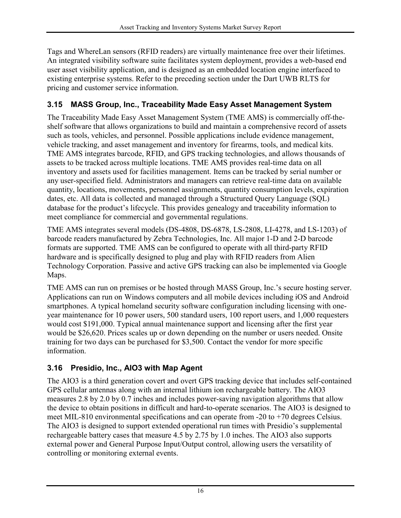Tags and WhereLan sensors (RFID readers) are virtually maintenance free over their lifetimes. An integrated visibility software suite facilitates system deployment, provides a web-based end user asset visibility application, and is designed as an embedded location engine interfaced to existing enterprise systems. Refer to the preceding section under the Dart UWB RLTS for pricing and customer service information.

#### <span id="page-21-0"></span>**3.15 MASS Group, Inc., Traceability Made Easy Asset Management System**

The Traceability Made Easy Asset Management System (TME AMS) is commercially off-theshelf software that allows organizations to build and maintain a comprehensive record of assets such as tools, vehicles, and personnel. Possible applications include evidence management, vehicle tracking, and asset management and inventory for firearms, tools, and medical kits. TME AMS integrates barcode, RFID, and GPS tracking technologies, and allows thousands of assets to be tracked across multiple locations. TME AMS provides real-time data on all inventory and assets used for facilities management. Items can be tracked by serial number or any user-specified field. Administrators and managers can retrieve real-time data on available quantity, locations, movements, personnel assignments, quantity consumption levels, expiration dates, etc. All data is collected and managed through a Structured Query Language (SQL) database for the product's lifecycle. This provides genealogy and traceability information to meet compliance for commercial and governmental regulations.

TME AMS integrates several models (DS-4808, DS-6878, LS-2808, LI-4278, and LS-1203) of barcode readers manufactured by Zebra Technologies, Inc. All major 1-D and 2-D barcode formats are supported. TME AMS can be configured to operate with all third-party RFID hardware and is specifically designed to plug and play with RFID readers from Alien Technology Corporation. Passive and active GPS tracking can also be implemented via Google Maps.

TME AMS can run on premises or be hosted through MASS Group, Inc.'s secure hosting server. Applications can run on Windows computers and all mobile devices including iOS and Android smartphones. A typical homeland security software configuration including licensing with oneyear maintenance for 10 power users, 500 standard users, 100 report users, and 1,000 requesters would cost \$191,000. Typical annual maintenance support and licensing after the first year would be \$26,620. Prices scales up or down depending on the number or users needed. Onsite training for two days can be purchased for \$3,500. Contact the vendor for more specific information.

#### <span id="page-21-1"></span>**3.16 Presidio, Inc., AIO3 with Map Agent**

The AIO3 is a third generation covert and overt GPS tracking device that includes self-contained GPS cellular antennas along with an internal lithium ion rechargeable battery. The AIO3 measures 2.8 by 2.0 by 0.7 inches and includes power-saving navigation algorithms that allow the device to obtain positions in difficult and hard-to-operate scenarios. The AIO3 is designed to meet MIL-810 environmental specifications and can operate from -20 to +70 degrees Celsius. The AIO3 is designed to support extended operational run times with Presidio's supplemental rechargeable battery cases that measure 4.5 by 2.75 by 1.0 inches. The AIO3 also supports external power and General Purpose Input/Output control, allowing users the versatility of controlling or monitoring external events.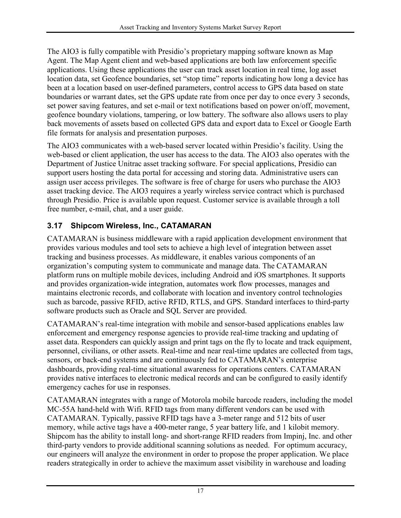The AIO3 is fully compatible with Presidio's proprietary mapping software known as Map Agent. The Map Agent client and web-based applications are both law enforcement specific applications. Using these applications the user can track asset location in real time, log asset location data, set Geofence boundaries, set "stop time" reports indicating how long a device has been at a location based on user-defined parameters, control access to GPS data based on state boundaries or warrant dates, set the GPS update rate from once per day to once every 3 seconds, set power saving features, and set e-mail or text notifications based on power on/off, movement, geofence boundary violations, tampering, or low battery. The software also allows users to play back movements of assets based on collected GPS data and export data to Excel or Google Earth file formats for analysis and presentation purposes.

The AIO3 communicates with a web-based server located within Presidio's facility. Using the web-based or client application, the user has access to the data. The AIO3 also operates with the Department of Justice Unitrac asset tracking software. For special applications, Presidio can support users hosting the data portal for accessing and storing data. Administrative users can assign user access privileges. The software is free of charge for users who purchase the AIO3 asset tracking device. The AIO3 requires a yearly wireless service contract which is purchased through Presidio. Price is available upon request. Customer service is available through a toll free number, e-mail, chat, and a user guide.

#### <span id="page-22-0"></span>**3.17 Shipcom Wireless, Inc., CATAMARAN**

CATAMARAN is business middleware with a rapid application development environment that provides various modules and tool sets to achieve a high level of integration between asset tracking and business processes. As middleware, it enables various components of an organization's computing system to communicate and manage data. The CATAMARAN platform runs on multiple mobile devices, including Android and iOS smartphones. It supports and provides organization-wide integration, automates work flow processes, manages and maintains electronic records, and collaborate with location and inventory control technologies such as barcode, passive RFID, active RFID, RTLS, and GPS. Standard interfaces to third-party software products such as Oracle and SQL Server are provided.

CATAMARAN's real-time integration with mobile and sensor-based applications enables law enforcement and emergency response agencies to provide real-time tracking and updating of asset data. Responders can quickly assign and print tags on the fly to locate and track equipment, personnel, civilians, or other assets. Real-time and near real-time updates are collected from tags, sensors, or back-end systems and are continuously fed to CATAMARAN's enterprise dashboards, providing real-time situational awareness for operations centers. CATAMARAN provides native interfaces to electronic medical records and can be configured to easily identify emergency caches for use in responses.

CATAMARAN integrates with a range of Motorola mobile barcode readers, including the model MC-55A hand-held with Wifi. RFID tags from many different vendors can be used with CATAMARAN. Typically, passive RFID tags have a 3-meter range and 512 bits of user memory, while active tags have a 400-meter range, 5 year battery life, and 1 kilobit memory. Shipcom has the ability to install long- and short-range RFID readers from Impinj, Inc. and other third-party vendors to provide additional scanning solutions as needed. For optimum accuracy, our engineers will analyze the environment in order to propose the proper application. We place readers strategically in order to achieve the maximum asset visibility in warehouse and loading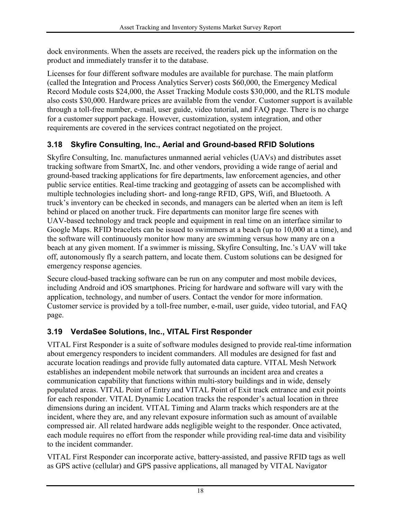dock environments. When the assets are received, the readers pick up the information on the product and immediately transfer it to the database.

Licenses for four different software modules are available for purchase. The main platform (called the Integration and Process Analytics Server) costs \$60,000, the Emergency Medical Record Module costs \$24,000, the Asset Tracking Module costs \$30,000, and the RLTS module also costs \$30,000. Hardware prices are available from the vendor. Customer support is available through a toll-free number, e-mail, user guide, video tutorial, and FAQ page. There is no charge for a customer support package. However, customization, system integration, and other requirements are covered in the services contract negotiated on the project.

#### <span id="page-23-0"></span>**3.18 Skyfire Consulting, Inc., Aerial and Ground-based RFID Solutions**

Skyfire Consulting, Inc. manufactures unmanned aerial vehicles (UAVs) and distributes asset tracking software from SmartX, Inc. and other vendors, providing a wide range of aerial and ground-based tracking applications for fire departments, law enforcement agencies, and other public service entities. Real-time tracking and geotagging of assets can be accomplished with multiple technologies including short- and long-range RFID, GPS, Wifi, and Bluetooth. A truck's inventory can be checked in seconds, and managers can be alerted when an item is left behind or placed on another truck. Fire departments can monitor large fire scenes with UAV-based technology and track people and equipment in real time on an interface similar to Google Maps. RFID bracelets can be issued to swimmers at a beach (up to 10,000 at a time), and the software will continuously monitor how many are swimming versus how many are on a beach at any given moment. If a swimmer is missing, Skyfire Consulting, Inc.'s UAV will take off, autonomously fly a search pattern, and locate them. Custom solutions can be designed for emergency response agencies.

Secure cloud-based tracking software can be run on any computer and most mobile devices, including Android and iOS smartphones. Pricing for hardware and software will vary with the application, technology, and number of users. Contact the vendor for more information. Customer service is provided by a toll-free number, e-mail, user guide, video tutorial, and FAQ page.

#### <span id="page-23-1"></span>**3.19 VerdaSee Solutions, Inc., VITAL First Responder**

VITAL First Responder is a suite of software modules designed to provide real-time information about emergency responders to incident commanders. All modules are designed for fast and accurate location readings and provide fully automated data capture. VITAL Mesh Network establishes an independent mobile network that surrounds an incident area and creates a communication capability that functions within multi-story buildings and in wide, densely populated areas. VITAL Point of Entry and VITAL Point of Exit track entrance and exit points for each responder. VITAL Dynamic Location tracks the responder's actual location in three dimensions during an incident. VITAL Timing and Alarm tracks which responders are at the incident, where they are, and any relevant exposure information such as amount of available compressed air. All related hardware adds negligible weight to the responder. Once activated, each module requires no effort from the responder while providing real-time data and visibility to the incident commander.

VITAL First Responder can incorporate active, battery-assisted, and passive RFID tags as well as GPS active (cellular) and GPS passive applications, all managed by VITAL Navigator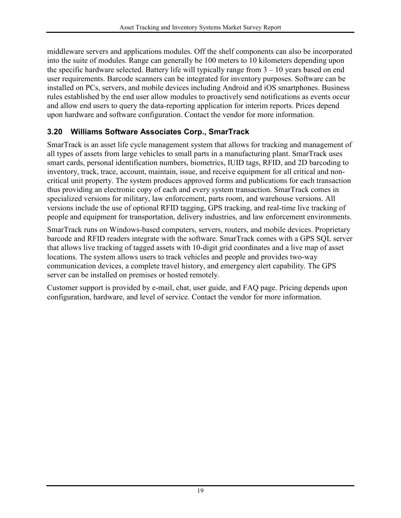middleware servers and applications modules. Off the shelf components can also be incorporated into the suite of modules. Range can generally be 100 meters to 10 kilometers depending upon the specific hardware selected. Battery life will typically range from  $3 - 10$  years based on end user requirements. Barcode scanners can be integrated for inventory purposes. Software can be installed on PCs, servers, and mobile devices including Android and iOS smartphones. Business rules established by the end user allow modules to proactively send notifications as events occur and allow end users to query the data-reporting application for interim reports. Prices depend upon hardware and software configuration. Contact the vendor for more information.

#### <span id="page-24-0"></span>**3.20 Williams Software Associates Corp., SmarTrack**

SmarTrack is an asset life cycle management system that allows for tracking and management of all types of assets from large vehicles to small parts in a manufacturing plant. SmarTrack uses smart cards, personal identification numbers, biometrics, IUID tags, RFID, and 2D barcoding to inventory, track, trace, account, maintain, issue, and receive equipment for all critical and noncritical unit property. The system produces approved forms and publications for each transaction thus providing an electronic copy of each and every system transaction. SmarTrack comes in specialized versions for military, law enforcement, parts room, and warehouse versions. All versions include the use of optional RFID tagging, GPS tracking, and real-time live tracking of people and equipment for transportation, delivery industries, and law enforcement environments.

SmarTrack runs on Windows-based computers, servers, routers, and mobile devices. Proprietary barcode and RFID readers integrate with the software. SmarTrack comes with a GPS SQL server that allows live tracking of tagged assets with 10-digit grid coordinates and a live map of asset locations. The system allows users to track vehicles and people and provides two-way communication devices, a complete travel history, and emergency alert capability. The GPS server can be installed on premises or hosted remotely.

Customer support is provided by e-mail, chat, user guide, and FAQ page. Pricing depends upon configuration, hardware, and level of service. Contact the vendor for more information.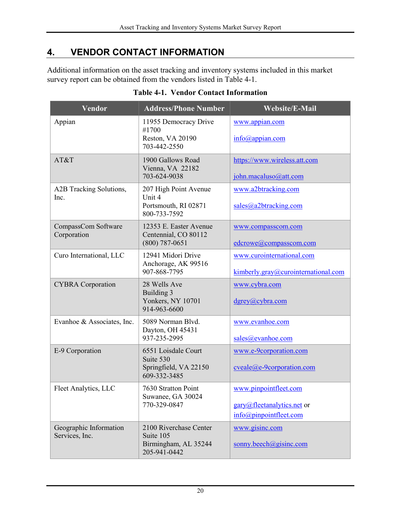## <span id="page-25-0"></span>**4. VENDOR CONTACT INFORMATION**

Additional information on the asset tracking and inventory systems included in this market survey report can be obtained from the vendors listed in [Table 4-1.](#page-25-1)

<span id="page-25-1"></span>

| Vendor                                   | <b>Address/Phone Number</b>                                                 | <b>Website/E-Mail</b>                                                                      |  |  |  |  |
|------------------------------------------|-----------------------------------------------------------------------------|--------------------------------------------------------------------------------------------|--|--|--|--|
| Appian                                   | 11955 Democracy Drive<br>#1700<br>Reston, VA 20190<br>703-442-2550          | www.appian.com<br>$info(a)$ appian.com                                                     |  |  |  |  |
| AT&T                                     | 1900 Gallows Road<br>Vienna, VA 22182<br>703-624-9038                       | https://www.wireless.att.com<br>john.macaluso@att.com                                      |  |  |  |  |
| A2B Tracking Solutions,<br>Inc.          | 207 High Point Avenue<br>Unit 4<br>Portsmouth, RI 02871<br>800-733-7592     | www.a2btracking.com<br>sales@a2btracting.com                                               |  |  |  |  |
| CompassCom Software<br>Corporation       | 12353 E. Easter Avenue<br>Centennial, CO 80112<br>$(800)$ 787-0651          | www.compasscom.com<br>edcrowe@compasscom.com                                               |  |  |  |  |
| Curo International, LLC                  | 12941 Midori Drive<br>Anchorage, AK 99516<br>907-868-7795                   | www.curointernational.com<br>$kimberly_{.}gray@curo international.com$                     |  |  |  |  |
| <b>CYBRA</b> Corporation                 | 28 Wells Ave<br>Building 3<br>Yonkers, NY 10701<br>914-963-6600             | www.cybra.com<br>$d$ grey@cybra.com                                                        |  |  |  |  |
| Evanhoe & Associates, Inc.               | 5089 Norman Blvd.<br>Dayton, OH 45431<br>937-235-2995                       | www.evanhoe.com<br>sales@evanhoe.com                                                       |  |  |  |  |
| E-9 Corporation                          | 6551 Loisdale Court<br>Suite 530<br>Springfield, VA 22150<br>609-332-3485   | www.e-9corporation.com<br>$cycle(\omega)e-9corporation.com$                                |  |  |  |  |
| Fleet Analytics, LLC                     | 7630 Stratton Point<br>Suwanee, GA 30024<br>770-329-0847                    | www.pinpointfleet.com<br>gary@fleetanalytics.net or<br>$info(\partial p)$ inpointfleet.com |  |  |  |  |
| Geographic Information<br>Services, Inc. | 2100 Riverchase Center<br>Suite 105<br>Birmingham, AL 35244<br>205-941-0442 | www.gisinc.com<br>sonny.beech@gisinc.com                                                   |  |  |  |  |

#### **Table 4-1. Vendor Contact Information**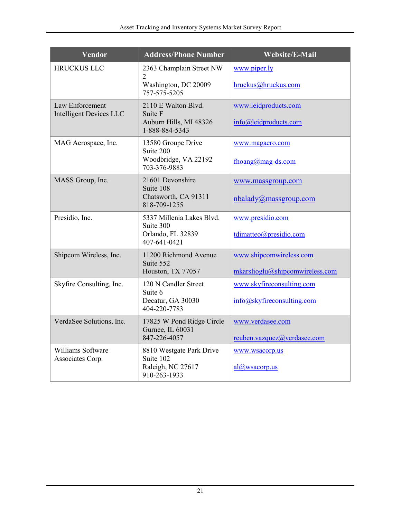| Vendor                                            | <b>Address/Phone Number</b>                   | <b>Website/E-Mail</b>           |
|---------------------------------------------------|-----------------------------------------------|---------------------------------|
| <b>HRUCKUS LLC</b>                                | 2363 Champlain Street NW<br>$\overline{2}$    | www.piper.ly                    |
|                                                   | Washington, DC 20009<br>757-575-5205          | hruckus@hruckus.com             |
| Law Enforcement<br><b>Intelligent Devices LLC</b> | 2110 E Walton Blvd.<br>Suite F                | www.leidproducts.com            |
|                                                   | Auburn Hills, MI 48326<br>1-888-884-5343      | info@leidproducts.com           |
| MAG Aerospace, Inc.                               | 13580 Groupe Drive<br>Suite 200               | www.magaero.com                 |
|                                                   | Woodbridge, VA 22192<br>703-376-9883          | fhoang@mag-ds.com               |
| MASS Group, Inc.                                  | 21601 Devonshire<br>Suite 108                 | www.massgroup.com               |
|                                                   | Chatsworth, CA 91311<br>818-709-1255          | nbalady@massgroup.com           |
| Presidio, Inc.                                    | 5337 Millenia Lakes Blvd.<br>Suite 300        | www.presidio.com                |
|                                                   | Orlando, FL 32839<br>407-641-0421             | tdimatteo@presidio.com          |
| Shipcom Wireless, Inc.                            | 11200 Richmond Avenue<br>Suite 552            | www.shipcomwireless.com         |
|                                                   | Houston, TX 77057                             | mkarslioglu@shipcomwireless.com |
| Skyfire Consulting, Inc.                          | 120 N Candler Street<br>Suite 6               | www.skyfireconsulting.com       |
|                                                   | Decatur, GA 30030<br>404-220-7783             | info@skyfireconsulting.com      |
| VerdaSee Solutions, Inc.                          | 17825 W Pond Ridge Circle<br>Gurnee, IL 60031 | www.verdasee.com                |
|                                                   | 847-226-4057                                  | reuben.vazquez@verdasee.com     |
| Williams Software<br>Associates Corp.             | 8810 Westgate Park Drive<br>Suite 102         | www.wsacorp.us                  |
|                                                   | Raleigh, NC 27617<br>910-263-1933             | al@wsacorp.us                   |